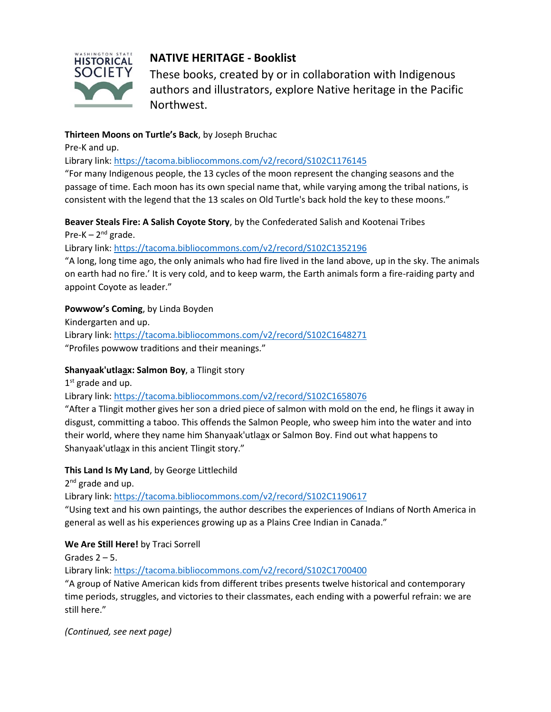

# **NATIVE HERITAGE - Booklist**

These books, created by or in collaboration with Indigenous authors and illustrators, explore Native heritage in the Pacific Northwest.

#### **Thirteen Moons on Turtle's Back**, by Joseph Bruchac

Pre-K and up.

Library link[: https://tacoma.bibliocommons.com/v2/record/S102C1176145](https://tacoma.bibliocommons.com/v2/record/S102C1176145)

"For many Indigenous people, the 13 cycles of the moon represent the changing seasons and the passage of time. Each moon has its own special name that, while varying among the tribal nations, is consistent with the legend that the 13 scales on Old Turtle's back hold the key to these moons."

#### **Beaver Steals Fire: A Salish Coyote Story**, by the Confederated Salish and Kootenai Tribes

Pre-K – 2<sup>nd</sup> grade.

#### Library link[: https://tacoma.bibliocommons.com/v2/record/S102C1352196](https://tacoma.bibliocommons.com/v2/record/S102C1352196)

"A long, long time ago, the only animals who had fire lived in the land above, up in the sky. The animals on earth had no fire.' It is very cold, and to keep warm, the Earth animals form a fire-raiding party and appoint Coyote as leader."

# **Powwow's Coming**, by Linda Boyden

Kindergarten and up. Library link[: https://tacoma.bibliocommons.com/v2/record/S102C1648271](https://tacoma.bibliocommons.com/v2/record/S102C1648271) "Profiles powwow traditions and their meanings."

# **Shanyaak'utlaa̲x: Salmon Boy**, a Tlingit story

1<sup>st</sup> grade and up.

Library link[: https://tacoma.bibliocommons.com/v2/record/S102C1658076](https://tacoma.bibliocommons.com/v2/record/S102C1658076)

"After a Tlingit mother gives her son a dried piece of salmon with mold on the end, he flings it away in disgust, committing a taboo. This offends the Salmon People, who sweep him into the water and into their world, where they name him Shanyaak'utlaa̲x or Salmon Boy. Find out what happens to Shanyaak'utlaa̲x in this ancient Tlingit story."

# **This Land Is My Land**, by George Littlechild

2<sup>nd</sup> grade and up.

Library link[: https://tacoma.bibliocommons.com/v2/record/S102C1190617](https://tacoma.bibliocommons.com/v2/record/S102C1190617)

"Using text and his own paintings, the author describes the experiences of Indians of North America in general as well as his experiences growing up as a Plains Cree Indian in Canada."

# **We Are Still Here!** by Traci Sorrell

Grades  $2 - 5$ .

Library link[: https://tacoma.bibliocommons.com/v2/record/S102C1700400](https://tacoma.bibliocommons.com/v2/record/S102C1700400)

"A group of Native American kids from different tribes presents twelve historical and contemporary time periods, struggles, and victories to their classmates, each ending with a powerful refrain: we are still here."

*(Continued, see next page)*